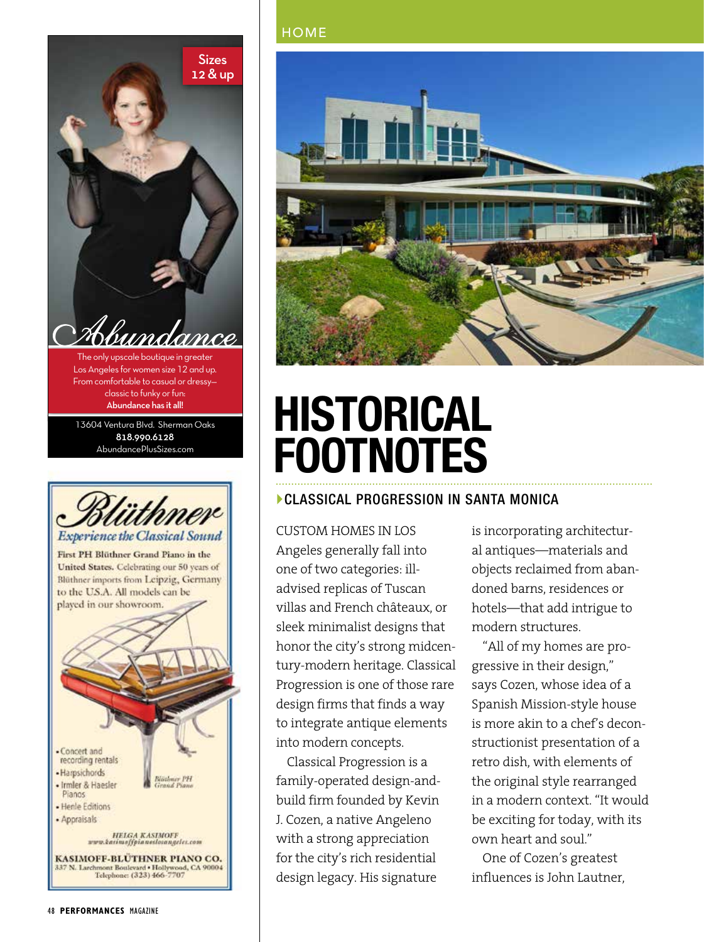



- Concert and recording rentals - Harpsichords **Blöthner PH** • Irmler & Haesler Pianos - Henle Editions · Appraisals

**HELGA KASIMOFF** www.kacimoffpianeslosangeles.com

KASIMOFF-BLÜTHNER PIANO CO. 337 N. Larchmont Boulevard • Hollywood, CA 90004<br>Telephone: (323) 466-7707



# **HISTORICAL FOOTNOTES**

#### CLASSICAL PROGRESSION IN SANTA MONICA

CUSTOM HOMES IN LOS Angeles generally fall into one of two categories: illadvised replicas of Tuscan villas and French châteaux, or sleek minimalist designs that honor the city's strong midcentury-modern heritage. Classical Progression is one of those rare design firms that finds a way to integrate antique elements into modern concepts.

Classical Progression is a family-operated design-andbuild firm founded by Kevin J. Cozen, a native Angeleno with a strong appreciation for the city's rich residential design legacy. His signature

is incorporating architectural antiques—materials and objects reclaimed from abandoned barns, residences or hotels—that add intrigue to modern structures.

"All of my homes are progressive in their design," says Cozen, whose idea of a Spanish Mission-style house is more akin to a chef's deconstructionist presentation of a retro dish, with elements of the original style rearranged in a modern context. "It would be exciting for today, with its own heart and soul."

One of Cozen's greatest influences is John Lautner,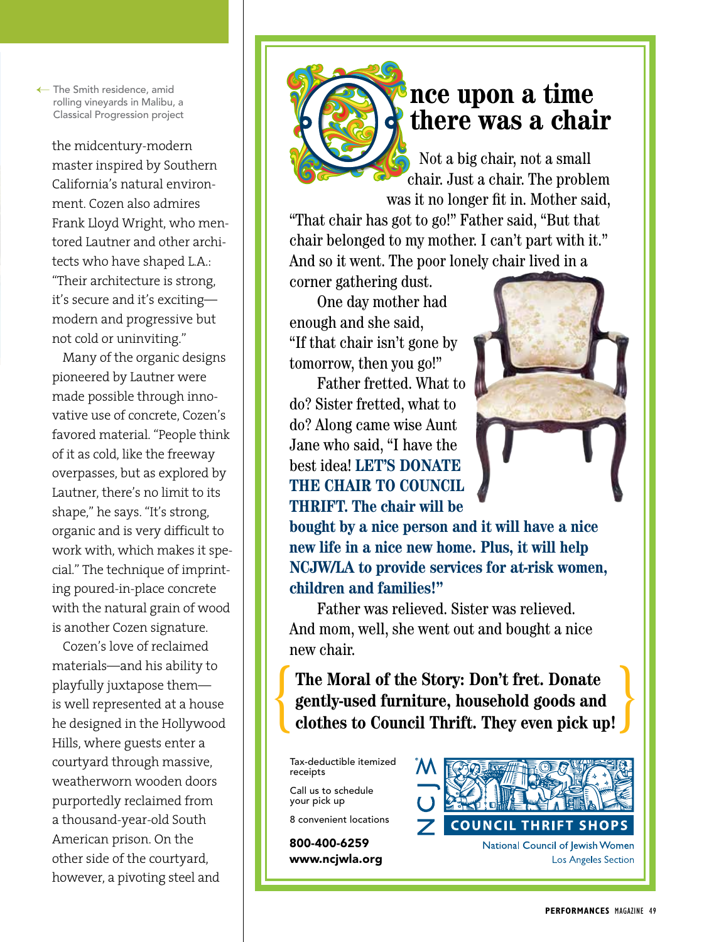← The Smith residence, amid rolling vineyards in Malibu, a Classical Progression project

the midcentury-modern master inspired by Southern California's natural environment. Cozen also admires Frank Lloyd Wright, who mentored Lautner and other architects who have shaped L.A.: "Their architecture is strong, it's secure and it's exciting modern and progressive but not cold or uninviting."

Many of the organic designs pioneered by Lautner were made possible through innovative use of concrete, Cozen's favored material. "People think of it as cold, like the freeway overpasses, but as explored by Lautner, there's no limit to its shape," he says. "It's strong, organic and is very difficult to work with, which makes it special." The technique of imprinting poured-in-place concrete with the natural grain of wood is another Cozen signature.

Cozen's love of reclaimed materials—and his ability to playfully juxtapose them is well represented at a house he designed in the Hollywood Hills, where guests enter a courtyard through massive, weatherworn wooden doors purportedly reclaimed from a thousand-year-old South American prison. On the other side of the courtyard, however, a pivoting steel and

### **nce upon a time there was a chair**

Not a big chair, not a small chair. Just a chair. The problem was it no longer fit in. Mother said,

"That chair has got to go!" Father said, "But that chair belonged to my mother. I can't part with it." And so it went. The poor lonely chair lived in a

corner gathering dust. One day mother had enough and she said, "If that chair isn't gone by tomorrow, then you go!"

Father fretted. What to do? Sister fretted, what to do? Along came wise Aunt Jane who said, "I have the best idea! **LET'S DONATE THE CHAIR TO COUNCIL THRIFT. The chair will be** 



**bought by a nice person and it will have a nice new life in a nice new home. Plus, it will help NCJW/LA to provide services for at-risk women, children and families!"** 

Father was relieved. Sister was relieved. And mom, well, she went out and bought a nice new chair.

**The Moral of the Story: Don't fret. Donate gently-used furniture, household goods and**  The Moral of the Story: Don't fret. Donate<br>gently-used furniture, household goods and<br>clothes to Council Thrift. They even pick up!

Council ThriftChairAd\_final.indd 1 5/6/14 1:43 PM 1:54 PM 1:54 PM 1:54 PM 1:54 PM 1:54 PM 1:54 PM 1:54 PM 1:54

Tax-deductible itemized receipts

Call us to schedule your pick up

8 convenient locations

800-400-6259 www.ncjwla.org

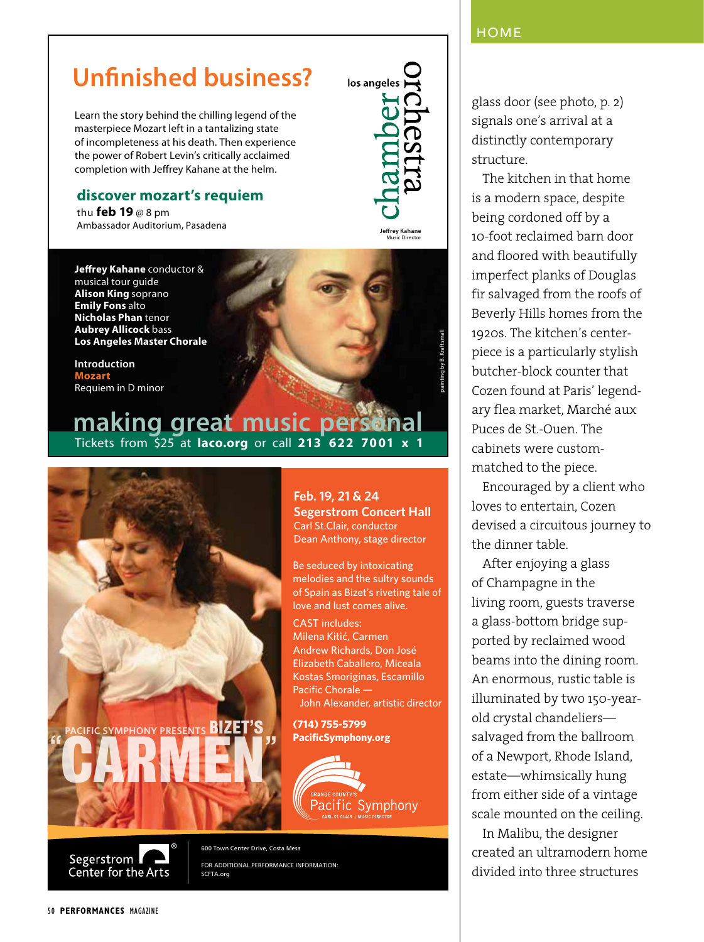#### **HOME**

### **Unfinished business?**

Learn the story behind the chilling legend of the masterpiece Mozart left in a tantalizing state of incompleteness at his death. Then experience the power of Robert Levin's critically acclaimed completion with Jeffrey Kahane at the helm.

#### **discover mozart's requiem**

thu **feb 19** @ 8 pm Ambassador Auditorium, Pasadena

**Jeffrey Kahane** conductor & musical tour guide **Alison King** soprano **Emily Fons** alto **Nicholas Phan** tenor **Aubrey Allicock** bass **Los Angeles Master Chorale**

**Introduction Mozart**  Requiem in D minor

### **making great music personal** Tickets from \$25 at **laco.org** or call **213 622 7001 x 1**



FOR ADDITIONAL PERFORMANCE INFORMATION: SCFTA.org



**Jeffrey Kahane** Music Director

painting by B. Kraftsmall

glass door (see photo, p. 2) signals one's arrival at a distinctly contemporary structure.

The kitchen in that home is a modern space, despite being cordoned off by a 10-foot reclaimed barn door and floored with beautifully imperfect planks of Douglas fir salvaged from the roofs of Beverly Hills homes from the 1920s. The kitchen's centerpiece is a particularly stylish butcher-block counter that Cozen found at Paris' legendary flea market, Marché aux Puces de St.-Ouen. The cabinets were custommatched to the piece.

Encouraged by a client who loves to entertain, Cozen devised a circuitous journey to the dinner table.

After enjoying a glass of Champagne in the living room, guests traverse a glass-bottom bridge supported by reclaimed wood beams into the dining room. An enormous, rustic table is illuminated by two 150-yearold crystal chandeliers salvaged from the ballroom of a Newport, Rhode Island, estate—whimsically hung from either side of a vintage scale mounted on the ceiling.

In Malibu, the designer created an ultramodern home divided into three structures

Center for the Arts